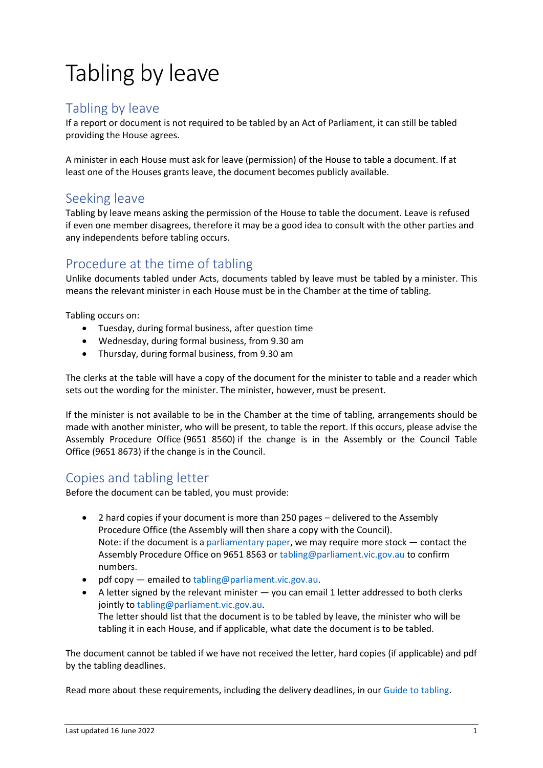# Tabling by leave

## Tabling by leave

If a report or document is not required to be tabled by an Act of Parliament, it can still be tabled providing the House agrees.

A minister in each House must ask for leave (permission) of the House to table a document. If at least one of the Houses grants leave, the document becomes publicly available.

### Seeking leave

Tabling by leave means asking the permission of the House to table the document. Leave is refused if even one member disagrees, therefore it may be a good idea to consult with the other parties and any independents before tabling occurs.

# Procedure at the time of tabling

Unlike documents tabled under Acts, documents tabled by leave must be tabled by a minister. This means the relevant minister in each House must be in the Chamber at the time of tabling.

Tabling occurs on:

- Tuesday, during formal business, after question time
- Wednesday, during formal business, from 9.30 am
- Thursday, during formal business, from 9.30 am

The clerks at the table will have a copy of the document for the minister to table and a reader which sets out the wording for the minister. The minister, however, must be present.

If the minister is not available to be in the Chamber at the time of tabling, arrangements should be made with another minister, who will be present, to table the report. If this occurs, please advise the Assembly Procedure Office (9651 8560) if the change is in the Assembly or the Council Table Office (9651 8673) if the change is in the Council.

#### Copies and tabling letter

Before the document can be tabled, you must provide:

- 2 hard copies if your document is more than 250 pages delivered to the Assembly Procedure Office (the Assembly will then share a copy with the Council). Note: if the document is [a parliamentary paper,](https://new.parliament.vic.gov.au/globalassets/sections-shared/parliamentary-activity/guides-for-departments/parliamentary-papers.pdf) we may require more stock — contact the Assembly Procedure Office on 9651 8563 o[r tabling@parliament.vic.gov.au](mailto:tabling@parliament.vic.gov.au) to confirm numbers.
- pdf copy emailed to [tabling@parliament.vic.gov.au.](mailto:tabling@parliament.vic.gov.au)
- A letter signed by the relevant minister you can email 1 letter addressed to both clerks jointly to [tabling@parliament.vic.gov.au.](mailto:tabling@parliament.vic.gov.au) The letter should list that the document is to be tabled by leave, the minister who will be tabling it in each House, and if applicable, what date the document is to be tabled.

The document cannot be tabled if we have not received the letter, hard copies (if applicable) and pdf by the tabling deadlines.

Read more about these requirements, including the delivery deadlines, in ou[r Guide to tabling.](https://new.parliament.vic.gov.au/globalassets/sections-shared/parliamentary-activity/guides-for-departments/guide-to-tabling.pdf)